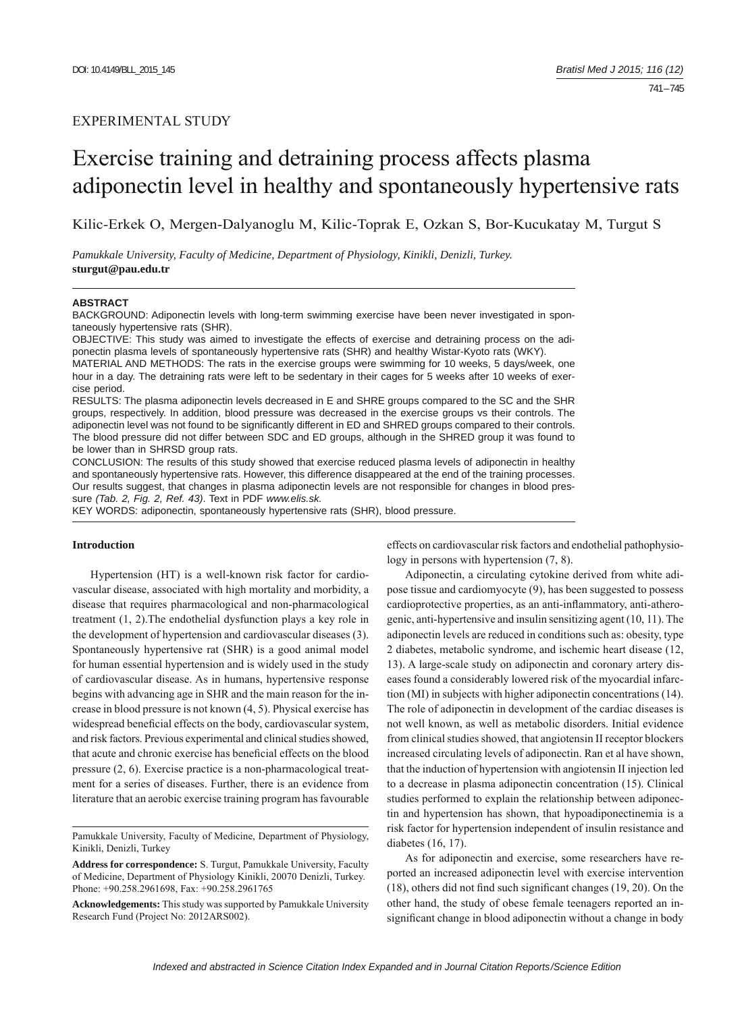# EXPERIMENTAL STUDY

# Exercise training and detraining process affects plasma adiponectin level in healthy and spontaneously hypertensive rats

Kilic-Erkek O, Mergen-Dalyanoglu M, Kilic-Toprak E, Ozkan S, Bor-Kucukatay M, Turgut S

*Pamukkale University, Faculty of Medicine, Department of Physiology, Kinikli, Denizli, Turkey.*  **sturgut@pau.edu.tr**

### **ABSTRACT**

BACKGROUND: Adiponectin levels with long-term swimming exercise have been never investigated in spontaneously hypertensive rats (SHR).

OBJECTIVE: This study was aimed to investigate the effects of exercise and detraining process on the adiponectin plasma levels of spontaneously hypertensive rats (SHR) and healthy Wistar-Kyoto rats (WKY).

MATERIAL AND METHODS: The rats in the exercise groups were swimming for 10 weeks, 5 days/week, one hour in a day. The detraining rats were left to be sedentary in their cages for 5 weeks after 10 weeks of exercise period.

RESULTS: The plasma adiponectin levels decreased in E and SHRE groups compared to the SC and the SHR groups, respectively. In addition, blood pressure was decreased in the exercise groups vs their controls. The adiponectin level was not found to be significantly different in ED and SHRED groups compared to their controls. The blood pressure did not differ between SDC and ED groups, although in the SHRED group it was found to be lower than in SHRSD group rats.

CONCLUSION: The results of this study showed that exercise reduced plasma levels of adiponectin in healthy and spontaneously hypertensive rats. However, this difference disappeared at the end of the training processes. Our results suggest, that changes in plasma adiponectin levels are not responsible for changes in blood pressure *(Tab. 2, Fig. 2, Ref. 43)*. Text in PDF *www.elis.sk.*

KEY WORDS: adiponectin, spontaneously hypertensive rats (SHR), blood pressure.

# **Introduction**

Hypertension (HT) is a well-known risk factor for cardiovascular disease, associated with high mortality and morbidity, a disease that requires pharmacological and non-pharmacological treatment (1, 2).The endothelial dysfunction plays a key role in the development of hypertension and cardiovascular diseases (3). Spontaneously hypertensive rat (SHR) is a good animal model for human essential hypertension and is widely used in the study of cardiovascular disease. As in humans, hypertensive response begins with advancing age in SHR and the main reason for the increase in blood pressure is not known (4, 5). Physical exercise has widespread beneficial effects on the body, cardiovascular system, and risk factors. Previous experimental and clinical studies showed, that acute and chronic exercise has beneficial effects on the blood pressure (2, 6). Exercise practice is a non-pharmacological treatment for a series of diseases. Further, there is an evidence from literature that an aerobic exercise training program has favourable effects on cardiovascular risk factors and endothelial pathophysiology in persons with hypertension (7, 8).

Adiponectin, a circulating cytokine derived from white adipose tissue and cardiomyocyte (9), has been suggested to possess cardioprotective properties, as an anti-inflammatory, anti-atherogenic, anti-hypertensive and insulin sensitizing agent (10, 11). The adiponectin levels are reduced in conditions such as: obesity, type 2 diabetes, metabolic syndrome, and ischemic heart disease (12, 13). A large-scale study on adiponectin and coronary artery diseases found a considerably lowered risk of the myocardial infarction (MI) in subjects with higher adiponectin concentrations (14). The role of adiponectin in development of the cardiac diseases is not well known, as well as metabolic disorders. Initial evidence from clinical studies showed, that angiotensin II receptor blockers increased circulating levels of adiponectin. Ran et al have shown, that the induction of hypertension with angiotensin II injection led to a decrease in plasma adiponectin concentration (15). Clinical studies performed to explain the relationship between adiponectin and hypertension has shown, that hypoadiponectinemia is a risk factor for hypertension independent of insulin resistance and diabetes (16, 17).

As for adiponectin and exercise, some researchers have reported an increased adiponectin level with exercise intervention  $(18)$ , others did not find such significant changes  $(19, 20)$ . On the other hand, the study of obese female teenagers reported an insignificant change in blood adiponectin without a change in body

Pamukkale University, Faculty of Medicine, Department of Physiology, Kinikli, Denizli, Turkey

**Address for correspondence:** S. Turgut, Pamukkale University, Faculty of Medicine, Department of Physiology Kinikli, 20070 Denizli, Turkey. Phone: +90.258.2961698, Fax: +90.258.2961765

**Acknowledgements:** This study was supported by Pamukkale University Research Fund (Project No: 2012ARS002).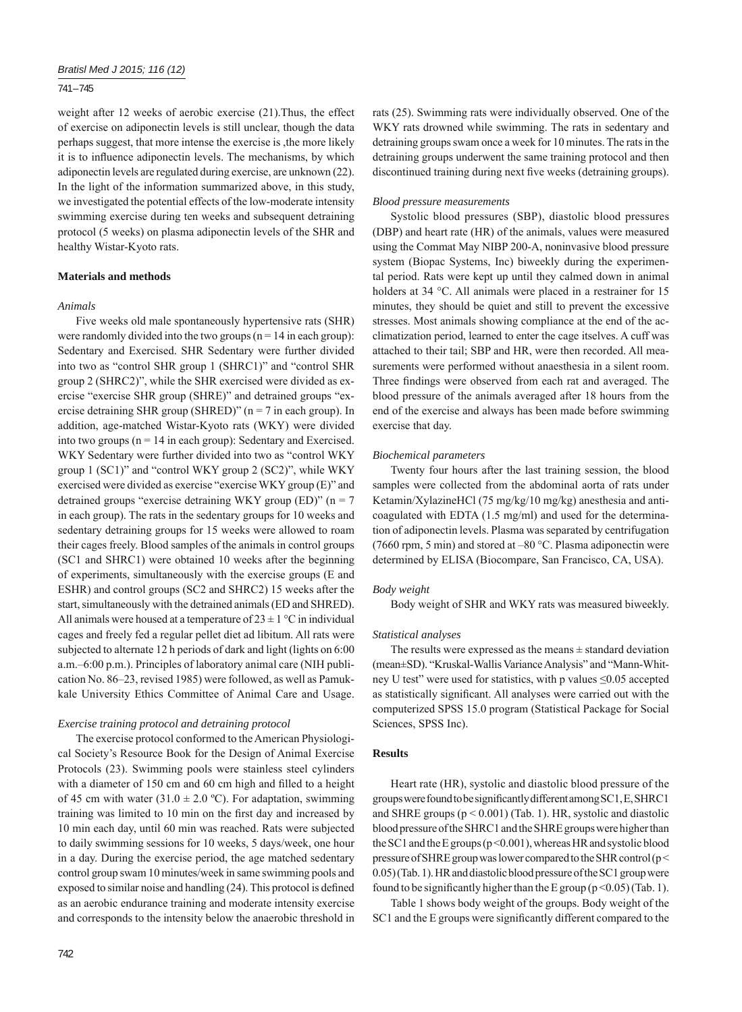# 741 – 745

weight after 12 weeks of aerobic exercise (21).Thus, the effect of exercise on adiponectin levels is still unclear, though the data perhaps suggest, that more intense the exercise is ,the more likely it is to influence adiponectin levels. The mechanisms, by which adiponectin levels are regulated during exercise, are unknown (22). In the light of the information summarized above, in this study, we investigated the potential effects of the low-moderate intensity swimming exercise during ten weeks and subsequent detraining protocol (5 weeks) on plasma adiponectin levels of the SHR and healthy Wistar-Kyoto rats.

# **Materials and methods**

### *Animals*

Five weeks old male spontaneously hypertensive rats (SHR) were randomly divided into the two groups ( $n = 14$  in each group): Sedentary and Exercised. SHR Sedentary were further divided into two as "control SHR group 1 (SHRC1)" and "control SHR group 2 (SHRC2)", while the SHR exercised were divided as exercise "exercise SHR group (SHRE)" and detrained groups "exercise detraining SHR group (SHRED)"  $(n = 7$  in each group). In addition, age-matched Wistar-Kyoto rats (WKY) were divided into two groups ( $n = 14$  in each group): Sedentary and Exercised. WKY Sedentary were further divided into two as "control WKY group 1 (SC1)" and "control WKY group 2 (SC2)", while WKY exercised were divided as exercise "exercise WKY group (E)" and detrained groups "exercise detraining WKY group (ED)" ( $n = 7$ in each group). The rats in the sedentary groups for 10 weeks and sedentary detraining groups for 15 weeks were allowed to roam their cages freely. Blood samples of the animals in control groups (SC1 and SHRC1) were obtained 10 weeks after the beginning of experiments, simultaneously with the exercise groups (E and ESHR) and control groups (SC2 and SHRC2) 15 weeks after the start, simultaneously with the detrained animals (ED and SHRED). All animals were housed at a temperature of  $23 \pm 1$  °C in individual cages and freely fed a regular pellet diet ad libitum. All rats were subjected to alternate 12 h periods of dark and light (lights on 6:00 a.m.–6:00 p.m.). Principles of laboratory animal care (NIH publication No. 86–23, revised 1985) were followed, as well as Pamukkale University Ethics Committee of Animal Care and Usage.

### *Exercise training protocol and detraining protocol*

The exercise protocol conformed to the American Physiological Society's Resource Book for the Design of Animal Exercise Protocols (23). Swimming pools were stainless steel cylinders with a diameter of 150 cm and 60 cm high and filled to a height of 45 cm with water  $(31.0 \pm 2.0 \degree C)$ . For adaptation, swimming training was limited to 10 min on the first day and increased by 10 min each day, until 60 min was reached. Rats were subjected to daily swimming sessions for 10 weeks, 5 days/week, one hour in a day. During the exercise period, the age matched sedentary control group swam 10 minutes/week in same swimming pools and exposed to similar noise and handling (24). This protocol is defined as an aerobic endurance training and moderate intensity exercise and corresponds to the intensity below the anaerobic threshold in rats (25). Swimming rats were individually observed. One of the WKY rats drowned while swimming. The rats in sedentary and detraining groups swam once a week for 10 minutes. The rats in the detraining groups underwent the same training protocol and then discontinued training during next five weeks (detraining groups).

# *Blood pressure measurements*

Systolic blood pressures (SBP), diastolic blood pressures (DBP) and heart rate (HR) of the animals, values were measured using the Commat May NIBP 200-A, noninvasive blood pressure system (Biopac Systems, Inc) biweekly during the experimental period. Rats were kept up until they calmed down in animal holders at 34 °C. All animals were placed in a restrainer for 15 minutes, they should be quiet and still to prevent the excessive stresses. Most animals showing compliance at the end of the acclimatization period, learned to enter the cage itselves. A cuff was attached to their tail; SBP and HR, were then recorded. All measurements were performed without anaesthesia in a silent room. Three findings were observed from each rat and averaged. The blood pressure of the animals averaged after 18 hours from the end of the exercise and always has been made before swimming exercise that day.

#### *Biochemical parameters*

Twenty four hours after the last training session, the blood samples were collected from the abdominal aorta of rats under Ketamin/XylazineHCl (75 mg/kg/10 mg/kg) anesthesia and anticoagulated with EDTA (1.5 mg/ml) and used for the determination of adiponectin levels. Plasma was separated by centrifugation (7660 rpm, 5 min) and stored at –80 °C. Plasma adiponectin were determined by ELISA (Biocompare, San Francisco, CA, USA).

## *Body weight*

Body weight of SHR and WKY rats was measured biweekly.

# *Statistical analyses*

The results were expressed as the means  $\pm$  standard deviation (mean±SD). "Kruskal-Wallis Variance Analysis" and "Mann-Whitney U test" were used for statistics, with p values ≤0.05 accepted as statistically significant. All analyses were carried out with the computerized SPSS 15.0 program (Statistical Package for Social Sciences, SPSS Inc).

# **Results**

Heart rate (HR), systolic and diastolic blood pressure of the groups were found to be significantly different among  $SC1, E, SHRC1$ and SHRE groups  $(p < 0.001)$  (Tab. 1). HR, systolic and diastolic blood pressure of the SHRC1 and the SHRE groups were higher than the SC1 and the E groups (p <0.001), whereas HR and systolic blood pressure of SHRE group was lower compared to the SHR control (p < 0.05) (Tab. 1). HR and diastolic blood pressure of the SC1 group were found to be significantly higher than the E group  $(p<0.05)$  (Tab. 1).

Table 1 shows body weight of the groups. Body weight of the SC1 and the E groups were significantly different compared to the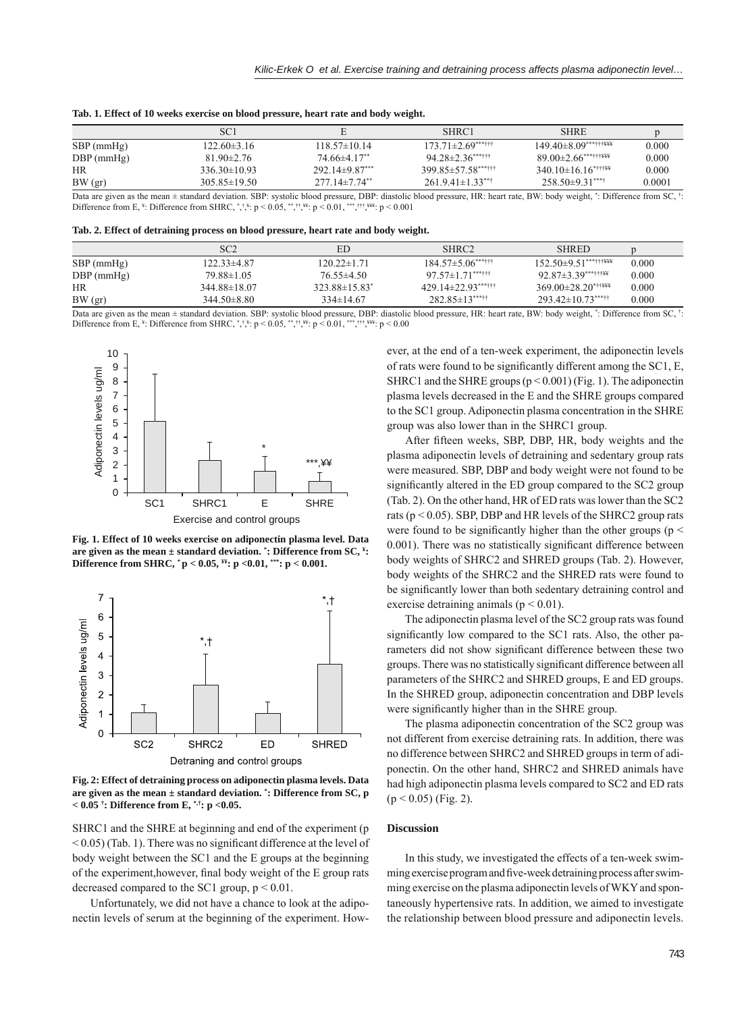|  |  |  |  |  | Tab. 1. Effect of 10 weeks exercise on blood pressure, heart rate and body weight. |  |  |  |  |
|--|--|--|--|--|------------------------------------------------------------------------------------|--|--|--|--|
|--|--|--|--|--|------------------------------------------------------------------------------------|--|--|--|--|

|              | SC1                |                                 | SHRC1                      | <b>SHRE</b>                         |                      |
|--------------|--------------------|---------------------------------|----------------------------|-------------------------------------|----------------------|
| $SBP$ (mmHg) | $122.60\pm3.16$    | $118.57\pm10.14$                |                            | $149.40\pm8.09***$                  | 0.000                |
| $DBP$ (mmHg) | $81.90 \pm 2.76$   | 74.66±4.17**                    | $94.28 \pm 2.36$ *******   | $89.00\pm2.66***$                   | 0.000                |
| <b>HR</b>    | $336.30\pm10.93$   | $292.14 \pm 9.87***$            | $399.85 \pm 57.58$ ******* | $340.10\pm16.16$ <sup>*******</sup> | 0.000                |
| BW(gr)       | $305.85 \pm 19.50$ | $277.14 \pm 7.74$ <sup>**</sup> | $261.9.41 \pm 1.33$ ***    | $258.50\pm9.31***$                  | 0.0001               |
| $\mathbf{r}$ |                    |                                 |                            | $\mathbf{r}$                        | $\sim$ $\sim$ $\sim$ |

Data are given as the mean ± standard deviation. SBP: systolic blood pressure, DBP: diastolic blood pressure, HR: heart rate, BW: body weight, \*: Difference from SC, \*: Difference from E,  $*$ : Difference from SHRC,  $*$ ,  $*$ :  $p < 0.05$ ,  $*$ ,  $*$ ;  $*$ :  $p < 0.01$ ,  $**$ ,  $*$ ;  $*$ ;  $p < 0.001$ 

|  |  | Tab. 2. Effect of detraining process on blood pressure, heart rate and body weight. |  |  |  |  |  |  |  |
|--|--|-------------------------------------------------------------------------------------|--|--|--|--|--|--|--|
|--|--|-------------------------------------------------------------------------------------|--|--|--|--|--|--|--|

|              | SC <sub>2</sub>  | ED                            | SHRC <sub>2</sub>                   | <b>SHRED</b>                  |       |
|--------------|------------------|-------------------------------|-------------------------------------|-------------------------------|-------|
| $SBP$ (mmHg) | 122.33±4.87      | $120.22 \pm 1.71$             | $184.57\pm5.06***$                  | $152.50\pm9.51***$            | 0.000 |
| $DBP$ (mmHg) | 79.88±1.05       | 76.55±4.50                    | $97.57 \pm 1.71$ <sup>*******</sup> | $92.87 \pm 3.39$ *********    | 0.000 |
| <b>HR</b>    | $344.88\pm18.07$ | $323.88\pm15.83$ <sup>*</sup> | $429.14 \pm 22.93$ ********         | $369.00\pm28.20$ <sup>*</sup> | 0.000 |
| BW(gr)       | $344.50\pm8.80$  | $334\pm14.67$                 | $282.85 \pm 13***$                  | $293.42\pm10.73***$           | 0.000 |

Data are given as the mean ± standard deviation. SBP: systolic blood pressure, DBP: diastolic blood pressure, HR: heart rate, BW: body weight, \*: Difference from SC, \*: Difference from E,  $*$ : Difference from SHRC,  $*$ ,  $*$ ,  $*$ :  $p < 0.05$ ,  $*$ ,  $*$ ,  $*$ :  $p < 0.01$ ,  $*$ ,  $*$ ,  $*$ ,  $*$ ,  $*$ ,  $*$   $*$ ,  $p < 0.00$ 



**Fig. 1. Effect of 10 weeks exercise on adiponectin plasma level. Data are given as the mean ± standard deviation. \* : Difference from SC, ¥ : Difference from SHRC, \* p < 0.05, ¥¥: p <0.01, \*\*\*: p < 0.001.**



**Fig. 2: Effect of detraining process on adiponectin plasma levels. Data are given as the mean ± standard deviation. \* : Difference from SC, p < 0.05 † : Difference from E, \*,†: p <0.05.**

SHRC1 and the SHRE at beginning and end of the experiment (p  $\leq$  0.05) (Tab. 1). There was no significant difference at the level of body weight between the SC1 and the E groups at the beginning of the experiment, however, final body weight of the E group rats decreased compared to the SC1 group,  $p \le 0.01$ .

Unfortunately, we did not have a chance to look at the adiponectin levels of serum at the beginning of the experiment. However, at the end of a ten-week experiment, the adiponectin levels of rats were found to be significantly different among the SC1, E, SHRC1 and the SHRE groups  $(p < 0.001)$  (Fig. 1). The adiponectin plasma levels decreased in the E and the SHRE groups compared to the SC1 group. Adiponectin plasma concentration in the SHRE group was also lower than in the SHRC1 group.

After fifteen weeks, SBP, DBP, HR, body weights and the plasma adiponectin levels of detraining and sedentary group rats were measured. SBP, DBP and body weight were not found to be significantly altered in the ED group compared to the SC2 group (Tab. 2). On the other hand, HR of ED rats was lower than the SC2 rats (p < 0.05). SBP, DBP and HR levels of the SHRC2 group rats were found to be significantly higher than the other groups ( $p <$  $0.001$ ). There was no statistically significant difference between body weights of SHRC2 and SHRED groups (Tab. 2). However, body weights of the SHRC2 and the SHRED rats were found to be significantly lower than both sedentary detraining control and exercise detraining animals ( $p < 0.01$ ).

The adiponectin plasma level of the SC2 group rats was found significantly low compared to the SC1 rats. Also, the other parameters did not show significant difference between these two groups. There was no statistically significant difference between all parameters of the SHRC2 and SHRED groups, E and ED groups. In the SHRED group, adiponectin concentration and DBP levels were significantly higher than in the SHRE group.

The plasma adiponectin concentration of the SC2 group was not different from exercise detraining rats. In addition, there was no difference between SHRC2 and SHRED groups in term of adiponectin. On the other hand, SHRC2 and SHRED animals have had high adiponectin plasma levels compared to SC2 and ED rats  $(p < 0.05)$  (Fig. 2).

### **Discussion**

In this study, we investigated the effects of a ten-week swimming exercise program and five-week detraining process after swimming exercise on the plasma adiponectin levels of WKY and spontaneously hypertensive rats. In addition, we aimed to investigate the relationship between blood pressure and adiponectin levels.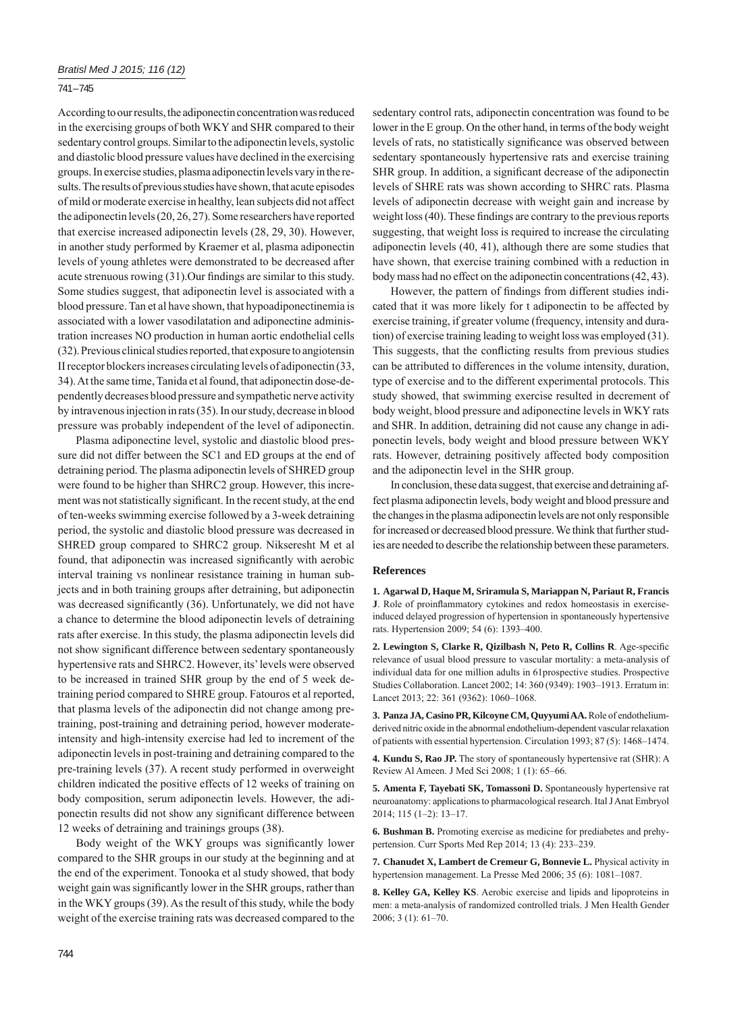# 741 – 745

According to our results, the adiponectin concentration was reduced in the exercising groups of both WKY and SHR compared to their sedentary control groups. Similar to the adiponectin levels, systolic and diastolic blood pressure values have declined in the exercising groups. In exercise studies, plasma adiponectin levels vary in the results. The results of previous studies have shown, that acute episodes of mild or moderate exercise in healthy, lean subjects did not affect the adiponectin levels (20, 26, 27). Some researchers have reported that exercise increased adiponectin levels (28, 29, 30). However, in another study performed by Kraemer et al, plasma adiponectin levels of young athletes were demonstrated to be decreased after acute strenuous rowing (31). Our findings are similar to this study. Some studies suggest, that adiponectin level is associated with a blood pressure. Tan et al have shown, that hypoadiponectinemia is associated with a lower vasodilatation and adiponectine administration increases NO production in human aortic endothelial cells (32). Previous clinical studies reported, that exposure to angiotensin II receptor blockers increases circulating levels of adiponectin (33, 34). At the same time, Tanida et al found, that adiponectin dose-dependently decreases blood pressure and sympathetic nerve activity by intravenous injection in rats (35). In our study, decrease in blood pressure was probably independent of the level of adiponectin.

Plasma adiponectine level, systolic and diastolic blood pressure did not differ between the SC1 and ED groups at the end of detraining period. The plasma adiponectin levels of SHRED group were found to be higher than SHRC2 group. However, this increment was not statistically significant. In the recent study, at the end of ten-weeks swimming exercise followed by a 3-week detraining period, the systolic and diastolic blood pressure was decreased in SHRED group compared to SHRC2 group. Nikseresht M et al found, that adiponectin was increased significantly with aerobic interval training vs nonlinear resistance training in human subjects and in both training groups after detraining, but adiponectin was decreased significantly  $(36)$ . Unfortunately, we did not have a chance to determine the blood adiponectin levels of detraining rats after exercise. In this study, the plasma adiponectin levels did not show significant difference between sedentary spontaneously hypertensive rats and SHRC2. However, its' levels were observed to be increased in trained SHR group by the end of 5 week detraining period compared to SHRE group. Fatouros et al reported, that plasma levels of the adiponectin did not change among pretraining, post-training and detraining period, however moderateintensity and high-intensity exercise had led to increment of the adiponectin levels in post-training and detraining compared to the pre-training levels (37). A recent study performed in overweight children indicated the positive effects of 12 weeks of training on body composition, serum adiponectin levels. However, the adiponectin results did not show any significant difference between 12 weeks of detraining and trainings groups (38).

Body weight of the WKY groups was significantly lower compared to the SHR groups in our study at the beginning and at the end of the experiment. Tonooka et al study showed, that body weight gain was significantly lower in the SHR groups, rather than in the WKY groups (39). As the result of this study, while the body weight of the exercise training rats was decreased compared to the

sedentary control rats, adiponectin concentration was found to be lower in the E group. On the other hand, in terms of the body weight levels of rats, no statistically significance was observed between sedentary spontaneously hypertensive rats and exercise training SHR group. In addition, a significant decrease of the adiponectin levels of SHRE rats was shown according to SHRC rats. Plasma levels of adiponectin decrease with weight gain and increase by weight loss (40). These findings are contrary to the previous reports suggesting, that weight loss is required to increase the circulating adiponectin levels (40, 41), although there are some studies that have shown, that exercise training combined with a reduction in body mass had no effect on the adiponectin concentrations (42, 43).

However, the pattern of findings from different studies indicated that it was more likely for t adiponectin to be affected by exercise training, if greater volume (frequency, intensity and duration) of exercise training leading to weight loss was employed (31). This suggests, that the conflicting results from previous studies can be attributed to differences in the volume intensity, duration, type of exercise and to the different experimental protocols. This study showed, that swimming exercise resulted in decrement of body weight, blood pressure and adiponectine levels in WKY rats and SHR. In addition, detraining did not cause any change in adiponectin levels, body weight and blood pressure between WKY rats. However, detraining positively affected body composition and the adiponectin level in the SHR group.

In conclusion, these data suggest, that exercise and detraining affect plasma adiponectin levels, body weight and blood pressure and the changes in the plasma adiponectin levels are not only responsible for increased or decreased blood pressure. We think that further studies are needed to describe the relationship between these parameters.

### **References**

**1. Agarwal D, Haque M, Sriramula S, Mariappan N, Pariaut R, Francis J**. Role of proinflammatory cytokines and redox homeostasis in exerciseinduced delayed progression of hypertension in spontaneously hypertensive rats. Hypertension 2009; 54 (6): 1393–400.

2. Lewington S, Clarke R, Qizilbash N, Peto R, Collins R. Age-specific relevance of usual blood pressure to vascular mortality: a meta-analysis of individual data for one million adults in 61prospective studies. Prospective Studies Collaboration. Lancet 2002; 14: 360 (9349): 1903–1913. Erratum in: Lancet 2013; 22: 361 (9362): 1060–1068.

**3. Panza JA, Casino PR, Kilcoyne CM, Quyyumi AA.** Role of endotheliumderived nitric oxide in the abnormal endothelium-dependent vascular relaxation of patients with essential hypertension. Circulation 1993; 87 (5): 1468–1474.

**4. Kundu S, Rao JP.** The story of spontaneously hypertensive rat (SHR): A Review Al Ameen. J Med Sci 2008; 1 (1): 65–66.

**5. Amenta F, Tayebati SK, Tomassoni D.** Spontaneously hypertensive rat neuroanatomy: applications to pharmacological research. Ital J Anat Embryol 2014; 115 (1–2): 13–17.

**6. Bushman B.** Promoting exercise as medicine for prediabetes and prehypertension. Curr Sports Med Rep 2014; 13 (4): 233–239.

**7. Chanudet X, Lambert de Cremeur G, Bonnevie L.** Physical activity in hypertension management. La Presse Med 2006; 35 (6): 1081–1087.

**8. Kelley GA, Kelley KS**. Aerobic exercise and lipids and lipoproteins in men: a meta-analysis of randomized controlled trials. J Men Health Gender 2006; 3 (1): 61–70.